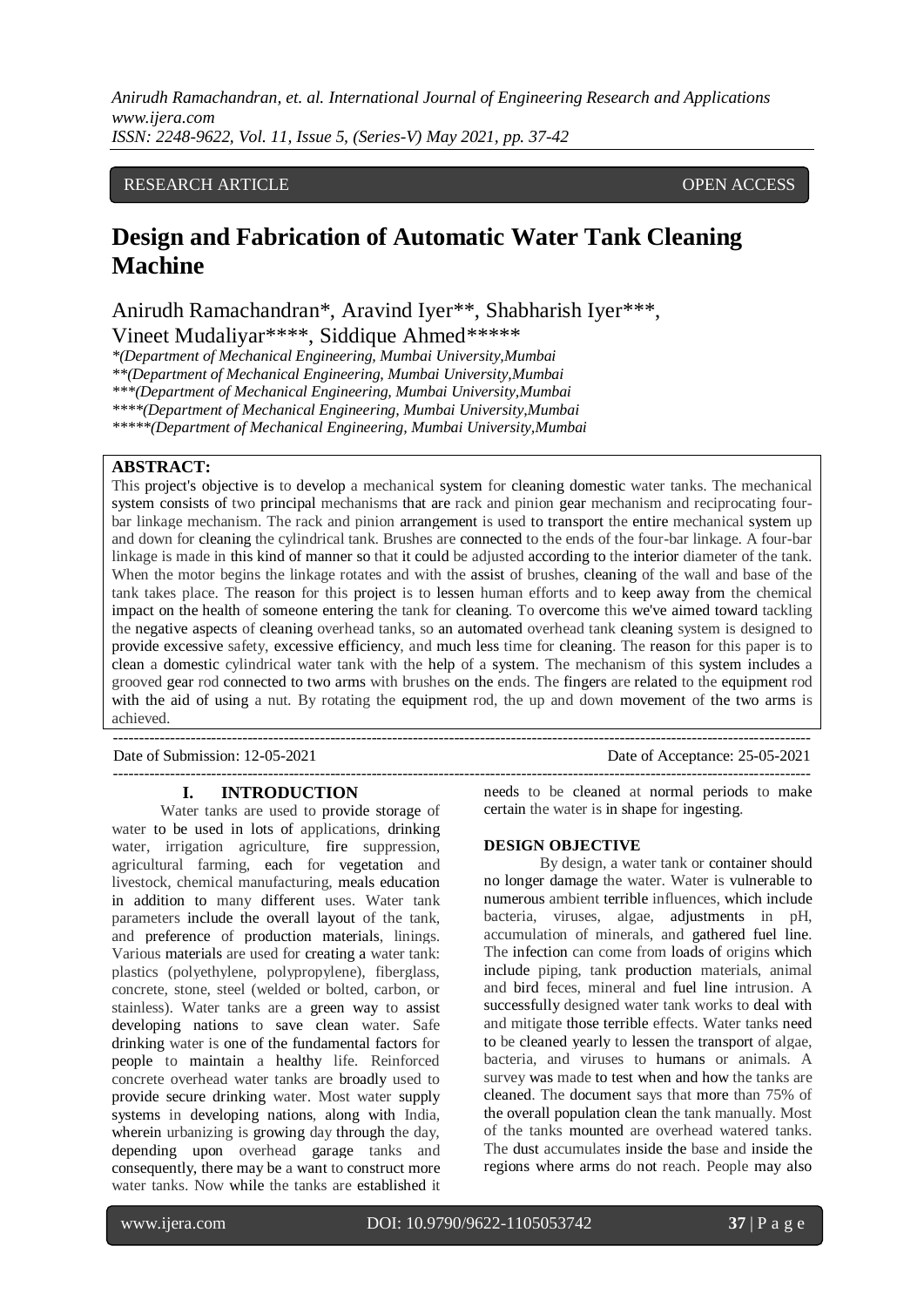## RESEARCH ARTICLE **CONSERVERS** OPEN ACCESS

# **Design and Fabrication of Automatic Water Tank Cleaning Machine**

Anirudh Ramachandran\*, Aravind Iyer\*\*, Shabharish Iyer\*\*\*, Vineet Mudaliyar\*\*\*\*, Siddique Ahmed\*\*\*\*\*

*\*(Department of Mechanical Engineering, Mumbai University,Mumbai*

*\*\*(Department of Mechanical Engineering, Mumbai University,Mumbai*

*\*\*\*(Department of Mechanical Engineering, Mumbai University,Mumbai*

*\*\*\*\*(Department of Mechanical Engineering, Mumbai University,Mumbai*

*\*\*\*\*\*(Department of Mechanical Engineering, Mumbai University,Mumbai*

## **ABSTRACT:**

This project's objective is to develop a mechanical system for cleaning domestic water tanks. The mechanical system consists of two principal mechanisms that are rack and pinion gear mechanism and reciprocating fourbar linkage mechanism. The rack and pinion arrangement is used to transport the entire mechanical system up and down for cleaning the cylindrical tank. Brushes are connected to the ends of the four-bar linkage. A four-bar linkage is made in this kind of manner so that it could be adjusted according to the interior diameter of the tank. When the motor begins the linkage rotates and with the assist of brushes, cleaning of the wall and base of the tank takes place. The reason for this project is to lessen human efforts and to keep away from the chemical impact on the health of someone entering the tank for cleaning. To overcome this we've aimed toward tackling the negative aspects of cleaning overhead tanks, so an automated overhead tank cleaning system is designed to provide excessive safety, excessive efficiency, and much less time for cleaning. The reason for this paper is to clean a domestic cylindrical water tank with the help of a system. The mechanism of this system includes a grooved gear rod connected to two arms with brushes on the ends. The fingers are related to the equipment rod with the aid of using a nut. By rotating the equipment rod, the up and down movement of the two arms is achieved.

---------------------------------------------------------------------------------------------------------------------------------------

---------------------------------------------------------------------------------------------------------------------------------------

#### **I. INTRODUCTION**

Water tanks are used to provide storage of water to be used in lots of applications, drinking water, irrigation agriculture, fire suppression, agricultural farming, each for vegetation and livestock, chemical manufacturing, meals education in addition to many different uses. Water tank parameters include the overall layout of the tank, and preference of production materials, linings. Various materials are used for creating a water tank: plastics (polyethylene, polypropylene), fiberglass, concrete, stone, steel (welded or bolted, carbon, or stainless). Water tanks are a green way to assist developing nations to save clean water. Safe drinking water is one of the fundamental factors for people to maintain a healthy life. Reinforced concrete overhead water tanks are broadly used to provide secure drinking water. Most water supply systems in developing nations, along with India, wherein urbanizing is growing day through the day, depending upon overhead garage tanks and consequently, there may be a want to construct more water tanks. Now while the tanks are established it

Date of Submission: 12-05-2021 Date of Acceptance: 25-05-2021

needs to be cleaned at normal periods to make certain the water is in shape for ingesting.

#### **DESIGN OBJECTIVE**

By design, a water tank or container should no longer damage the water. Water is vulnerable to numerous ambient terrible influences, which include bacteria, viruses, algae, adjustments in pH, accumulation of minerals, and gathered fuel line. The infection can come from loads of origins which include piping, tank production materials, animal and bird feces, mineral and fuel line intrusion. A successfully designed water tank works to deal with and mitigate those terrible effects. Water tanks need to be cleaned yearly to lessen the transport of algae, bacteria, and viruses to humans or animals. A survey was made to test when and how the tanks are cleaned. The document says that more than 75% of the overall population clean the tank manually. Most of the tanks mounted are overhead watered tanks. The dust accumulates inside the base and inside the regions where arms do not reach. People may also

l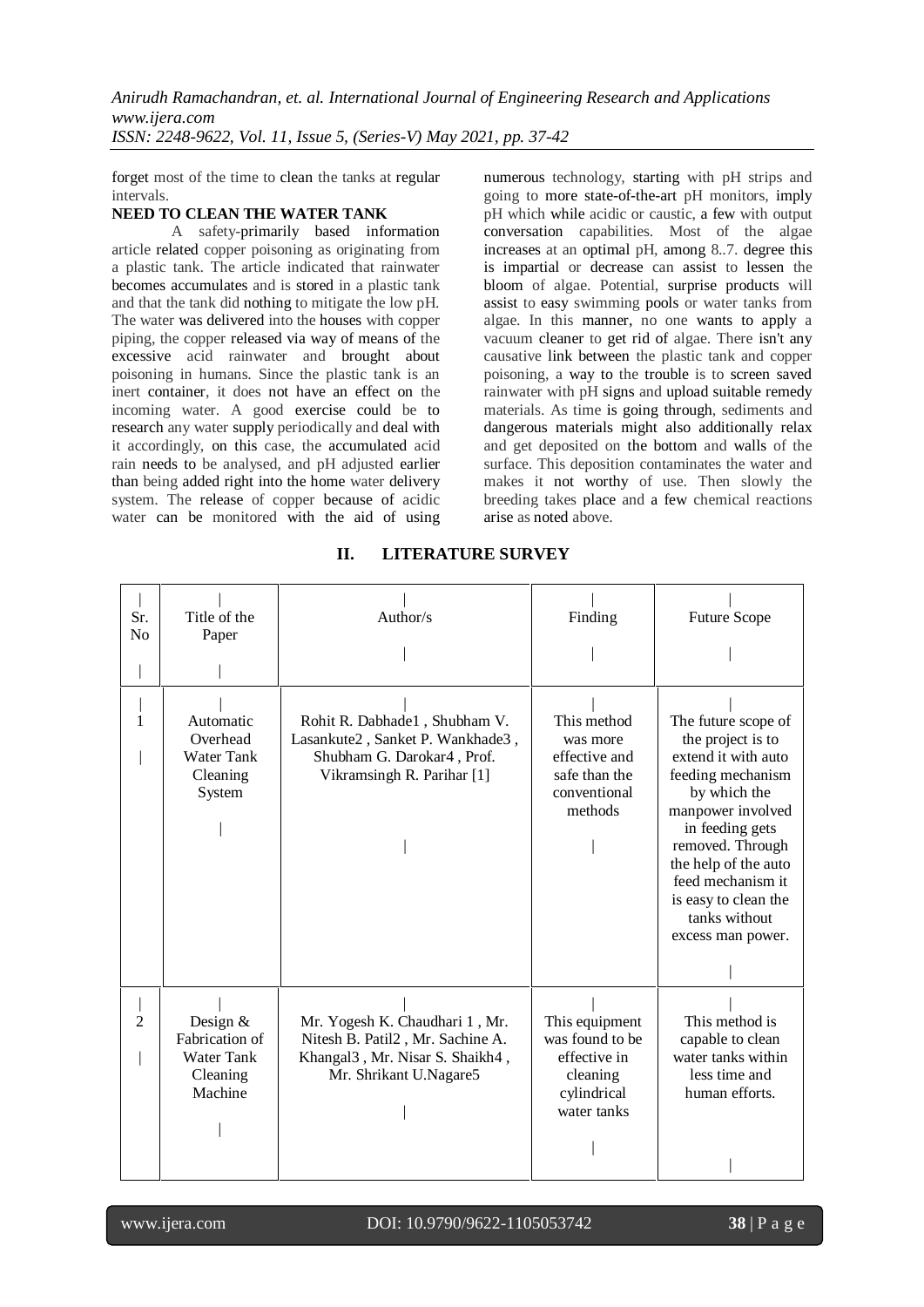forget most of the time to clean the tanks at regular intervals.

#### **NEED TO CLEAN THE WATER TANK**

A safety-primarily based information article related copper poisoning as originating from a plastic tank. The article indicated that rainwater becomes accumulates and is stored in a plastic tank and that the tank did nothing to mitigate the low pH. The water was delivered into the houses with copper piping, the copper released via way of means of the excessive acid rainwater and brought about poisoning in humans. Since the plastic tank is an inert container, it does not have an effect on the incoming water. A good exercise could be to research any water supply periodically and deal with it accordingly, on this case, the accumulated acid rain needs to be analysed, and pH adjusted earlier than being added right into the home water delivery system. The release of copper because of acidic water can be monitored with the aid of using numerous technology, starting with pH strips and going to more state-of-the-art pH monitors, imply pH which while acidic or caustic, a few with output conversation capabilities. Most of the algae increases at an optimal pH, among 8..7. degree this is impartial or decrease can assist to lessen the bloom of algae. Potential, surprise products will assist to easy swimming pools or water tanks from algae. In this manner, no one wants to apply a vacuum cleaner to get rid of algae. There isn't any causative link between the plastic tank and copper poisoning, a way to the trouble is to screen saved rainwater with pH signs and upload suitable remedy materials. As time is going through, sediments and dangerous materials might also additionally relax and get deposited on the bottom and walls of the surface. This deposition contaminates the water and makes it not worthy of use. Then slowly the breeding takes place and a few chemical reactions arise as noted above.

| Sr.<br>N <sub>0</sub> | Title of the<br>Paper                                             | Author/s                                                                                                                                     | Finding                                                                                     | <b>Future Scope</b>                                                                                                                                                                                                                                                         |
|-----------------------|-------------------------------------------------------------------|----------------------------------------------------------------------------------------------------------------------------------------------|---------------------------------------------------------------------------------------------|-----------------------------------------------------------------------------------------------------------------------------------------------------------------------------------------------------------------------------------------------------------------------------|
| 1                     | Automatic<br>Overhead<br><b>Water Tank</b><br>Cleaning<br>System  | Rohit R. Dabhade1, Shubham V.<br>Lasankute2, Sanket P. Wankhade3,<br>Shubham G. Darokar4, Prof.<br>Vikramsingh R. Parihar [1]                | This method<br>was more<br>effective and<br>safe than the<br>conventional<br>methods        | The future scope of<br>the project is to<br>extend it with auto<br>feeding mechanism<br>by which the<br>manpower involved<br>in feeding gets<br>removed. Through<br>the help of the auto<br>feed mechanism it<br>is easy to clean the<br>tanks without<br>excess man power. |
| 2                     | Design $&$<br>Fabrication of<br>Water Tank<br>Cleaning<br>Machine | Mr. Yogesh K. Chaudhari 1, Mr.<br>Nitesh B. Patil2, Mr. Sachine A.<br>Khangal <sub>3</sub> , Mr. Nisar S. Shaikh4,<br>Mr. Shrikant U.Nagare5 | This equipment<br>was found to be<br>effective in<br>cleaning<br>cylindrical<br>water tanks | This method is<br>capable to clean<br>water tanks within<br>less time and<br>human efforts.                                                                                                                                                                                 |

## **II. LITERATURE SURVEY**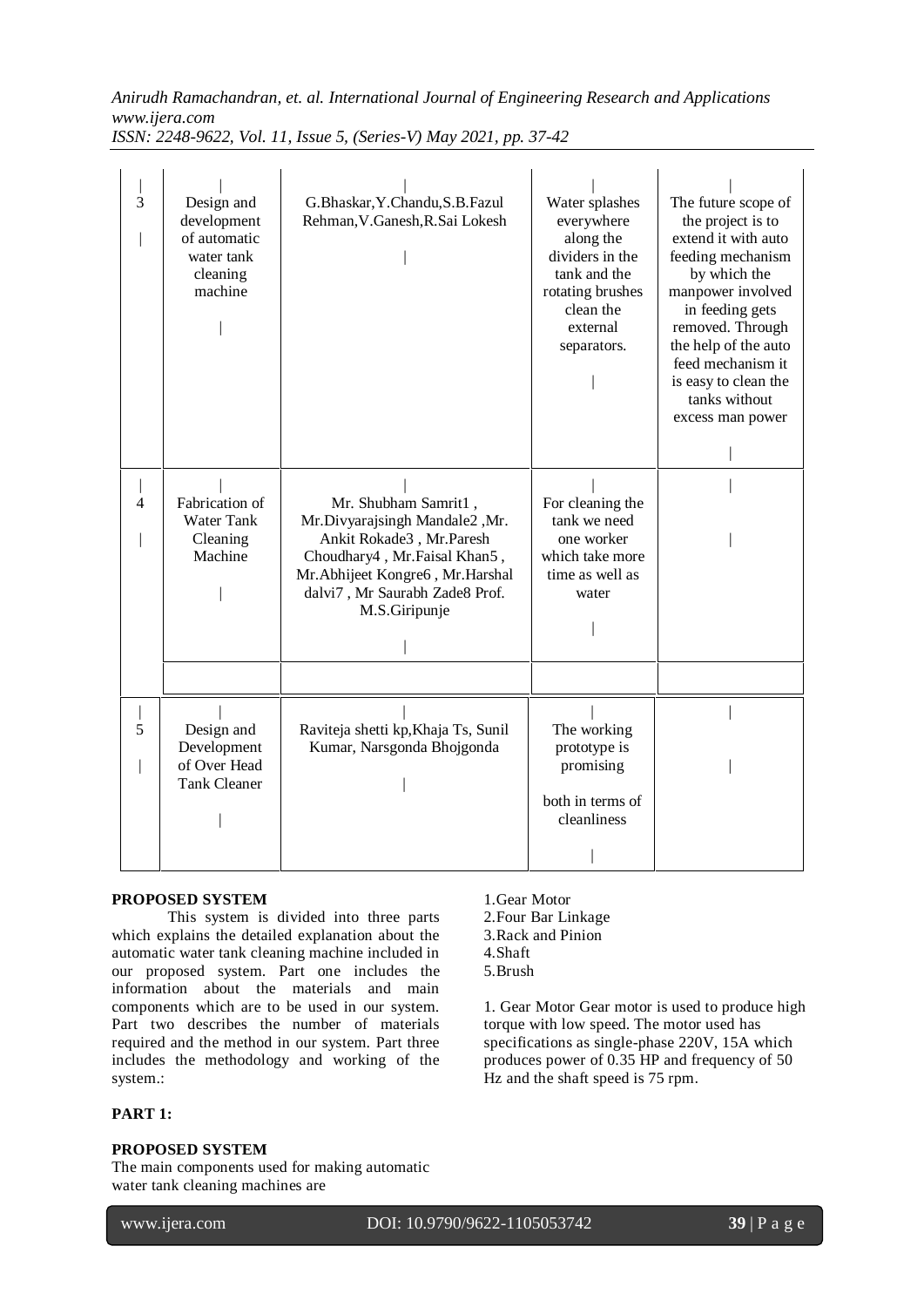*Anirudh Ramachandran, et. al. International Journal of Engineering Research and Applications www.ijera.com*

*ISSN: 2248-9622, Vol. 11, Issue 5, (Series-V) May 2021, pp. 37-42*

| 3 | Design and<br>development<br>of automatic<br>water tank<br>cleaning<br>machine | G.Bhaskar, Y.Chandu, S.B.Fazul<br>Rehman, V. Ganesh, R. Sai Lokesh                                                                                                                                       | Water splashes<br>everywhere<br>along the<br>dividers in the<br>tank and the<br>rotating brushes<br>clean the<br>external<br>separators. | The future scope of<br>the project is to<br>extend it with auto<br>feeding mechanism<br>by which the<br>manpower involved<br>in feeding gets<br>removed. Through<br>the help of the auto<br>feed mechanism it<br>is easy to clean the<br>tanks without<br>excess man power |
|---|--------------------------------------------------------------------------------|----------------------------------------------------------------------------------------------------------------------------------------------------------------------------------------------------------|------------------------------------------------------------------------------------------------------------------------------------------|----------------------------------------------------------------------------------------------------------------------------------------------------------------------------------------------------------------------------------------------------------------------------|
| 4 | Fabrication of<br>Water Tank<br>Cleaning<br>Machine                            | Mr. Shubham Samrit1,<br>Mr.Divyarajsingh Mandale2, Mr.<br>Ankit Rokade3, Mr.Paresh<br>Choudhary4, Mr.Faisal Khan5,<br>Mr.Abhijeet Kongre6, Mr.Harshal<br>dalvi7, Mr Saurabh Zade8 Prof.<br>M.S.Giripunje | For cleaning the<br>tank we need<br>one worker<br>which take more<br>time as well as<br>water                                            |                                                                                                                                                                                                                                                                            |
| 5 | Design and<br>Development<br>of Over Head<br><b>Tank Cleaner</b>               | Raviteja shetti kp, Khaja Ts, Sunil<br>Kumar, Narsgonda Bhojgonda                                                                                                                                        | The working<br>prototype is<br>promising<br>both in terms of<br>cleanliness                                                              |                                                                                                                                                                                                                                                                            |

## **PROPOSED SYSTEM**

This system is divided into three parts which explains the detailed explanation about the automatic water tank cleaning machine included in our proposed system. Part one includes the information about the materials and main components which are to be used in our system. Part two describes the number of materials required and the method in our system. Part three includes the methodology and working of the system.:

# **PART 1:**

## **PROPOSED SYSTEM**

The main components used for making automatic water tank cleaning machines are

| 1. Gear Motor       |
|---------------------|
| 2. Four Bar Linkage |
| 3 Rack and Pinion   |

3.Rack and Pinion 4.Shaft 5.Brush

1. Gear Motor Gear motor is used to produce high torque with low speed. The motor used has specifications as single-phase 220V, 15A which produces power of 0.35 HP and frequency of 50 Hz and the shaft speed is 75 rpm.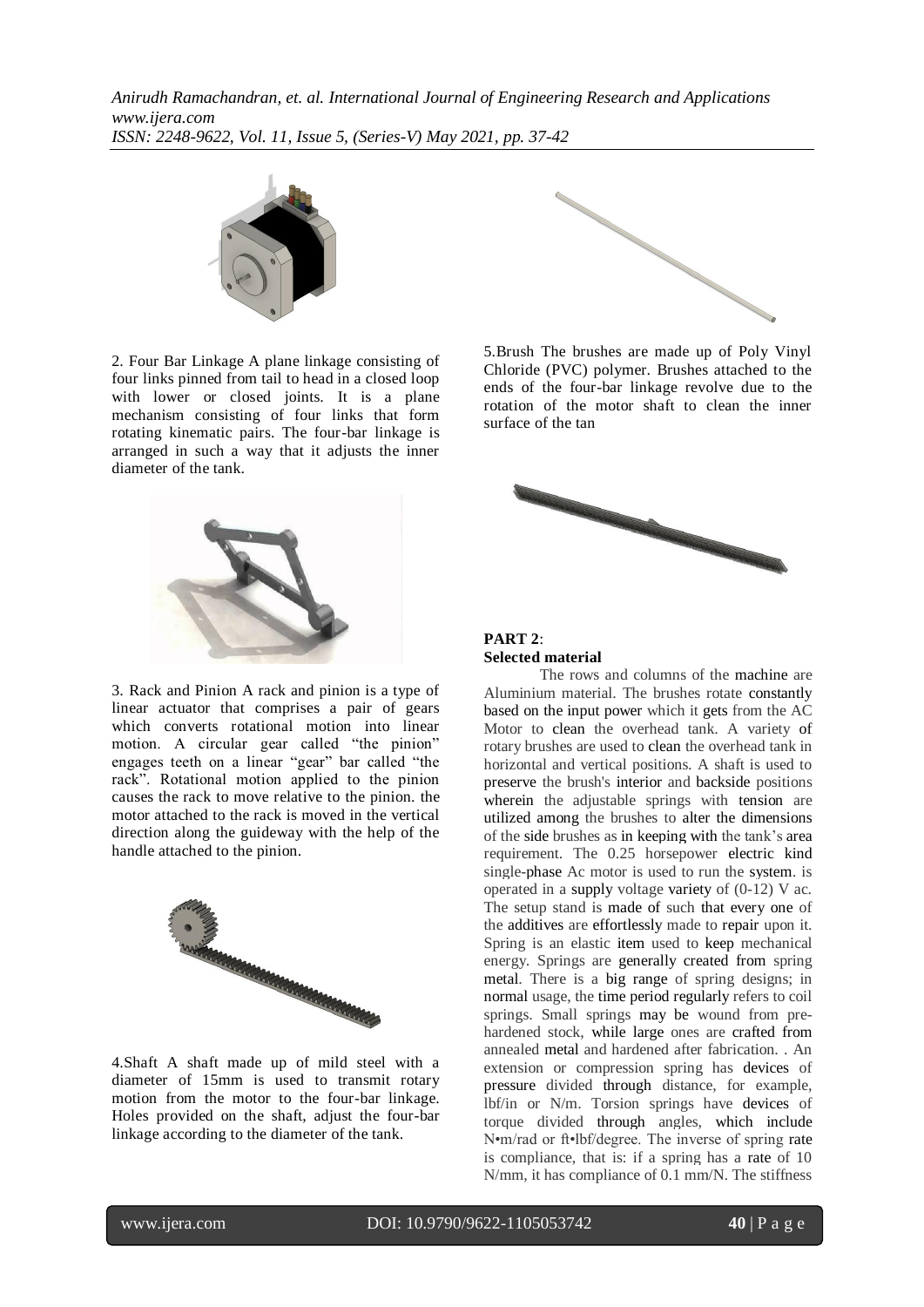

2. Four Bar Linkage A plane linkage consisting of four links pinned from tail to head in a closed loop with lower or closed joints. It is a plane mechanism consisting of four links that form rotating kinematic pairs. The four-bar linkage is arranged in such a way that it adjusts the inner diameter of the tank.



3. Rack and Pinion A rack and pinion is a type of linear actuator that comprises a pair of gears which converts rotational motion into linear motion. A circular gear called "the pinion" engages teeth on a linear "gear" bar called "the rack". Rotational motion applied to the pinion causes the rack to move relative to the pinion. the motor attached to the rack is moved in the vertical direction along the guideway with the help of the handle attached to the pinion.



4.Shaft A shaft made up of mild steel with a diameter of 15mm is used to transmit rotary motion from the motor to the four-bar linkage. Holes provided on the shaft, adjust the four-bar linkage according to the diameter of the tank.



5.Brush The brushes are made up of Poly Vinyl Chloride (PVC) polymer. Brushes attached to the ends of the four-bar linkage revolve due to the rotation of the motor shaft to clean the inner surface of the tan





The rows and columns of the machine are Aluminium material. The brushes rotate constantly based on the input power which it gets from the AC Motor to clean the overhead tank. A variety of rotary brushes are used to clean the overhead tank in horizontal and vertical positions. A shaft is used to preserve the brush's interior and backside positions wherein the adjustable springs with tension are utilized among the brushes to alter the dimensions of the side brushes as in keeping with the tank's area requirement. The 0.25 horsepower electric kind single-phase Ac motor is used to run the system. is operated in a supply voltage variety of (0-12) V ac. The setup stand is made of such that every one of the additives are effortlessly made to repair upon it. Spring is an elastic item used to keep mechanical energy. Springs are generally created from spring metal. There is a big range of spring designs; in normal usage, the time period regularly refers to coil springs. Small springs may be wound from prehardened stock, while large ones are crafted from annealed metal and hardened after fabrication. . An extension or compression spring has devices of pressure divided through distance, for example, lbf/in or N/m. Torsion springs have devices of torque divided through angles, which include N•m/rad or ft•lbf/degree. The inverse of spring rate is compliance, that is: if a spring has a rate of 10 N/mm, it has compliance of 0.1 mm/N. The stiffness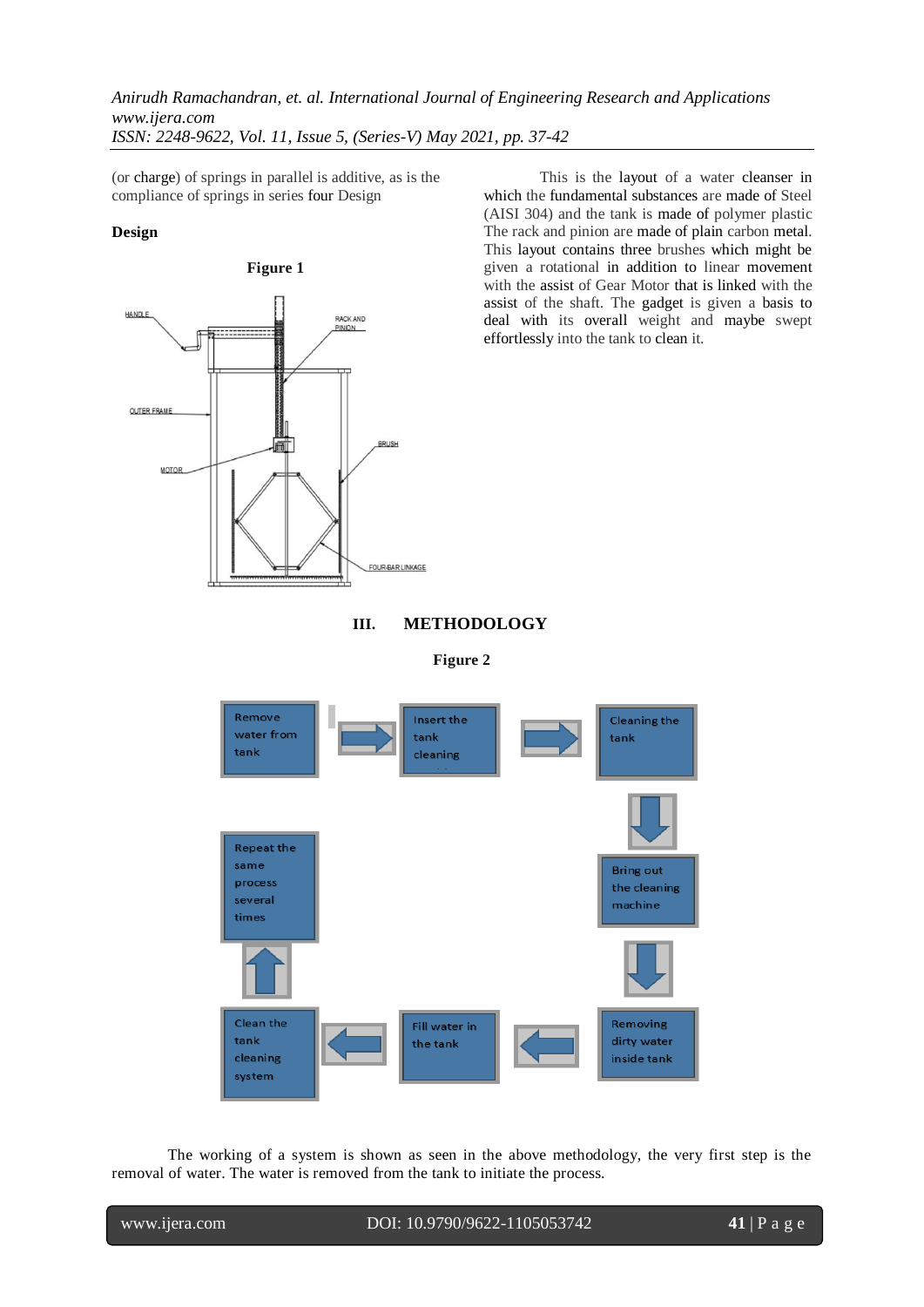(or charge) of springs in parallel is additive, as is the compliance of springs in series four Design

## **Design**



This is the layout of a water cleanser in which the fundamental substances are made of Steel (AISI 304) and the tank is made of polymer plastic The rack and pinion are made of plain carbon metal. This layout contains three brushes which might be given a rotational in addition to linear movement with the assist of Gear Motor that is linked with the assist of the shaft. The gadget is given a basis to deal with its overall weight and maybe swept effortlessly into the tank to clean it.





**Figure 2**



The working of a system is shown as seen in the above methodology, the very first step is the removal of water. The water is removed from the tank to initiate the process.

www.ijera.com DOI: 10.9790/9622-1105053742 **41** | P a g e

l